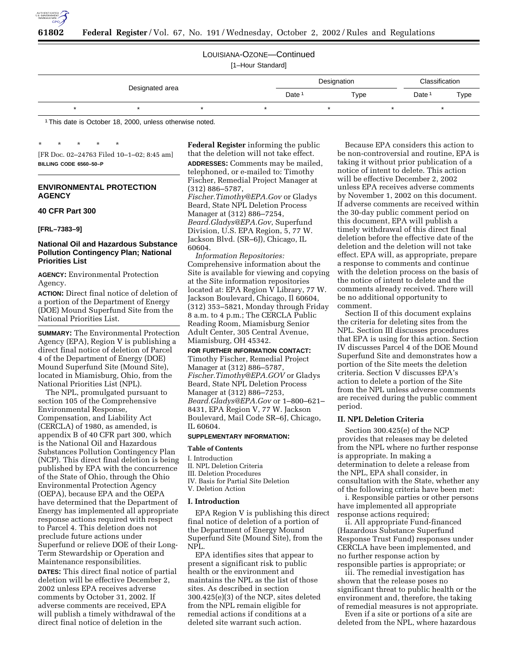

# LOUISIANA-OZONE—Continued

[1–Hour Standard]

|                 |  |  |  | Designation | Classification |                   |      |
|-----------------|--|--|--|-------------|----------------|-------------------|------|
| Designated area |  |  |  | Date        | Type           | Date <sup>®</sup> | Type |
|                 |  |  |  |             |                |                   |      |

1This date is October 18, 2000, unless otherwise noted.

\* \* \* \* \* [FR Doc. 02–24763 Filed 10–1–02; 8:45 am] **BILLING CODE 6560–50–P**

# **ENVIRONMENTAL PROTECTION AGENCY**

### **40 CFR Part 300**

# **[FRL–7383–9]**

### **National Oil and Hazardous Substance Pollution Contingency Plan; National Priorities List**

**AGENCY:** Environmental Protection Agency.

**ACTION:** Direct final notice of deletion of a portion of the Department of Energy (DOE) Mound Superfund Site from the National Priorities List.

**SUMMARY:** The Environmental Protection Agency (EPA), Region V is publishing a direct final notice of deletion of Parcel 4 of the Department of Energy (DOE) Mound Superfund Site (Mound Site), located in Miamisburg, Ohio, from the National Priorities List (NPL).

The NPL, promulgated pursuant to section 105 of the Comprehensive Environmental Response, Compensation, and Liability Act (CERCLA) of 1980, as amended, is appendix B of 40 CFR part 300, which is the National Oil and Hazardous Substances Pollution Contingency Plan (NCP). This direct final deletion is being published by EPA with the concurrence of the State of Ohio, through the Ohio Environmental Protection Agency (OEPA), because EPA and the OEPA have determined that the Department of Energy has implemented all appropriate response actions required with respect to Parcel 4. This deletion does not preclude future actions under Superfund or relieve DOE of their Long-Term Stewardship or Operation and Maintenance responsibilities.

**DATES:** This direct final notice of partial deletion will be effective December 2, 2002 unless EPA receives adverse comments by October 31, 2002. If adverse comments are received, EPA will publish a timely withdrawal of the direct final notice of deletion in the

**Federal Register** informing the public that the deletion will not take effect. **ADDRESSES:** Comments may be mailed, telephoned, or e-mailed to: Timothy Fischer, Remedial Project Manager at (312) 886–5787, *Fischer.Timothy@EPA.Gov* or Gladys Beard, State NPL Deletion Process Manager at (312) 886–7254, *Beard.Gladys@EPA.Gov*, Superfund Division, U.S. EPA Region, 5, 77 W. Jackson Blvd. (SR–6J), Chicago, IL

60604. *Information Repositories:* Comprehensive information about the Site is available for viewing and copying at the Site information repositories located at: EPA Region V Library, 77 W. Jackson Boulevard, Chicago, Il 60604, (312) 353–5821, Monday through Friday 8 a.m. to 4 p.m.; The CERCLA Public Reading Room, Miamisburg Senior Adult Center, 305 Central Avenue, Miamisburg, OH 45342.

### **FOR FURTHER INFORMATION CONTACT:**

Timothy Fischer, Remedial Project Manager at (312) 886–5787, *Fischer.Timothy@EPA.GOV* or Gladys Beard, State NPL Deletion Process Manager at (312) 886–7253, *Beard.Gladys@EPA.Gov* or 1–800–621– 8431, EPA Region V, 77 W. Jackson Boulevard, Mail Code SR–6J, Chicago, IL 60604.

# **SUPPLEMENTARY INFORMATION:**

### **Table of Contents**

### I. Introduction

- II. NPL Deletion Criteria III. Deletion Procedures
- IV. Basis for Partial Site Deletion
- V. Deletion Action

### **I. Introduction**

EPA Region V is publishing this direct final notice of deletion of a portion of the Department of Energy Mound Superfund Site (Mound Site), from the NPL.

EPA identifies sites that appear to present a significant risk to public health or the environment and maintains the NPL as the list of those sites. As described in section 300.425(e)(3) of the NCP, sites deleted from the NPL remain eligible for remedial actions if conditions at a deleted site warrant such action.

Because EPA considers this action to be non-controversial and routine, EPA is taking it without prior publication of a notice of intent to delete. This action will be effective December 2, 2002 unless EPA receives adverse comments by November 1, 2002 on this document. If adverse comments are received within the 30-day public comment period on this document, EPA will publish a timely withdrawal of this direct final deletion before the effective date of the deletion and the deletion will not take effect. EPA will, as appropriate, prepare a response to comments and continue with the deletion process on the basis of the notice of intent to delete and the comments already received. There will be no additional opportunity to comment.

Section II of this document explains the criteria for deleting sites from the NPL. Section III discusses procedures that EPA is using for this action. Section IV discusses Parcel 4 of the DOE Mound Superfund Site and demonstrates how a portion of the Site meets the deletion criteria. Section V discusses EPA's action to delete a portion of the Site from the NPL unless adverse comments are received during the public comment period.

# **II. NPL Deletion Criteria**

Section 300.425(e) of the NCP provides that releases may be deleted from the NPL where no further response is appropriate. In making a determination to delete a release from the NPL, EPA shall consider, in consultation with the State, whether any of the following criteria have been met:

i. Responsible parties or other persons have implemented all appropriate response actions required;

ii. All appropriate Fund-financed (Hazardous Substance Superfund Response Trust Fund) responses under CERCLA have been implemented, and no further response action by responsible parties is appropriate; or

iii. The remedial investigation has shown that the release poses no significant threat to public health or the environment and, therefore, the taking of remedial measures is not appropriate.

Even if a site or portions of a site are deleted from the NPL, where hazardous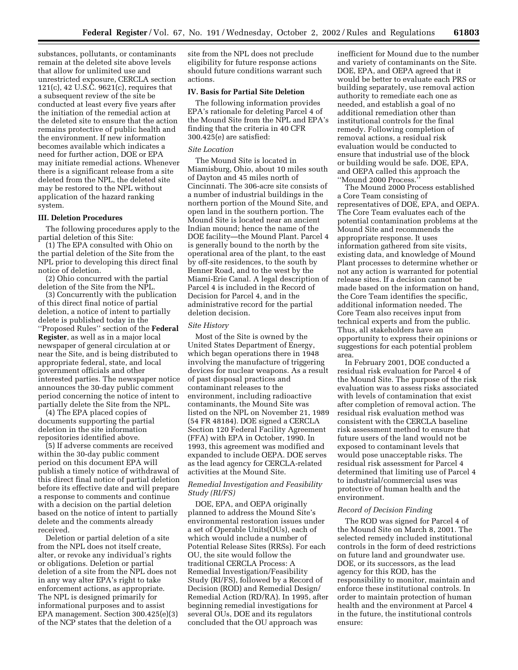substances, pollutants, or contaminants remain at the deleted site above levels that allow for unlimited use and unrestricted exposure, CERCLA section  $121(c)$ , 42 U.S. $\tilde{C}$ . 9621(c), requires that a subsequent review of the site be conducted at least every five years after the initiation of the remedial action at the deleted site to ensure that the action remains protective of public health and the environment. If new information becomes available which indicates a need for further action, DOE or EPA may initiate remedial actions. Whenever there is a significant release from a site deleted from the NPL, the deleted site may be restored to the NPL without application of the hazard ranking system.

### **III. Deletion Procedures**

The following procedures apply to the partial deletion of this Site:

(1) The EPA consulted with Ohio on the partial deletion of the Site from the NPL prior to developing this direct final notice of deletion.

(2) Ohio concurred with the partial deletion of the Site from the NPL.

(3) Concurrently with the publication of this direct final notice of partial deletion, a notice of intent to partially delete is published today in the ''Proposed Rules'' section of the **Federal Register**, as well as in a major local newspaper of general circulation at or near the Site, and is being distributed to appropriate federal, state, and local government officials and other interested parties. The newspaper notice announces the 30-day public comment period concerning the notice of intent to partially delete the Site from the NPL.

(4) The EPA placed copies of documents supporting the partial deletion in the site information repositories identified above.

(5) If adverse comments are received within the 30-day public comment period on this document EPA will publish a timely notice of withdrawal of this direct final notice of partial deletion before its effective date and will prepare a response to comments and continue with a decision on the partial deletion based on the notice of intent to partially delete and the comments already received.

Deletion or partial deletion of a site from the NPL does not itself create, alter, or revoke any individual's rights or obligations. Deletion or partial deletion of a site from the NPL does not in any way alter EPA's right to take enforcement actions, as appropriate. The NPL is designed primarily for informational purposes and to assist EPA management. Section 300.425(e)(3) of the NCP states that the deletion of a

site from the NPL does not preclude eligibility for future response actions should future conditions warrant such actions.

# **IV. Basis for Partial Site Deletion**

The following information provides EPA's rationale for deleting Parcel 4 of the Mound Site from the NPL and EPA's finding that the criteria in 40 CFR 300.425(e) are satisfied:

### *Site Location*

The Mound Site is located in Miamisburg, Ohio, about 10 miles south of Dayton and 45 miles north of Cincinnati. The 306-acre site consists of a number of industrial buildings in the northern portion of the Mound Site, and open land in the southern portion. The Mound Site is located near an ancient Indian mound; hence the name of the DOE facility—the Mound Plant. Parcel 4 is generally bound to the north by the operational area of the plant, to the east by off-site residences, to the south by Benner Road, and to the west by the Miami-Erie Canal. A legal description of Parcel 4 is included in the Record of Decision for Parcel 4, and in the administrative record for the partial deletion decision.

### *Site History*

Most of the Site is owned by the United States Department of Energy, which began operations there in 1948 involving the manufacture of triggering devices for nuclear weapons. As a result of past disposal practices and contaminant releases to the environment, including radioactive contaminants, the Mound Site was listed on the NPL on November 21, 1989 (54 FR 48184). DOE signed a CERCLA Section 120 Federal Facility Agreement (FFA) with EPA in October, 1990. In 1993, this agreement was modified and expanded to include OEPA. DOE serves as the lead agency for CERCLA-related activities at the Mound Site.

### *Remedial Investigation and Feasibility Study (RI/FS)*

DOE, EPA, and OEPA originally planned to address the Mound Site's environmental restoration issues under a set of Operable Units(OUs), each of which would include a number of Potential Release Sites (RRSs). For each OU, the site would follow the traditional CERCLA Process: A Remedial Investigation/Feasibility Study (RI/FS), followed by a Record of Decision (ROD) and Remedial Design/ Remedial Action (RD/RA). In 1995, after beginning remedial investigations for several OUs, DOE and its regulators concluded that the OU approach was

inefficient for Mound due to the number and variety of contaminants on the Site. DOE, EPA, and OEPA agreed that it would be better to evaluate each PRS or building separately, use removal action authority to remediate each one as needed, and establish a goal of no additional remediation other than institutional controls for the final remedy. Following completion of removal actions, a residual risk evaluation would be conducted to ensure that industrial use of the block or building would be safe. DOE, EPA, and OEPA called this approach the ''Mound 2000 Process.''

The Mound 2000 Process established a Core Team consisting of representatives of DOE, EPA, and OEPA. The Core Team evaluates each of the potential contamination problems at the Mound Site and recommends the appropriate response. It uses information gathered from site visits, existing data, and knowledge of Mound Plant processes to determine whether or not any action is warranted for potential release sites. If a decision cannot be made based on the information on hand, the Core Team identifies the specific, additional information needed. The Core Team also receives input from technical experts and from the public. Thus, all stakeholders have an opportunity to express their opinions or suggestions for each potential problem area.

In February 2001, DOE conducted a residual risk evaluation for Parcel 4 of the Mound Site. The purpose of the risk evaluation was to assess risks associated with levels of contamination that exist after completion of removal action. The residual risk evaluation method was consistent with the CERCLA baseline risk assessment method to ensure that future users of the land would not be exposed to contaminant levels that would pose unacceptable risks. The residual risk assessment for Parcel 4 determined that limiting use of Parcel 4 to industrial/commercial uses was protective of human health and the environment.

### *Record of Decision Finding*

The ROD was signed for Parcel 4 of the Mound Site on March 8, 2001. The selected remedy included institutional controls in the form of deed restrictions on future land and groundwater use. DOE, or its successors, as the lead agency for this ROD, has the responsibility to monitor, maintain and enforce these institutional controls. In order to maintain protection of human health and the environment at Parcel 4 in the future, the institutional controls ensure: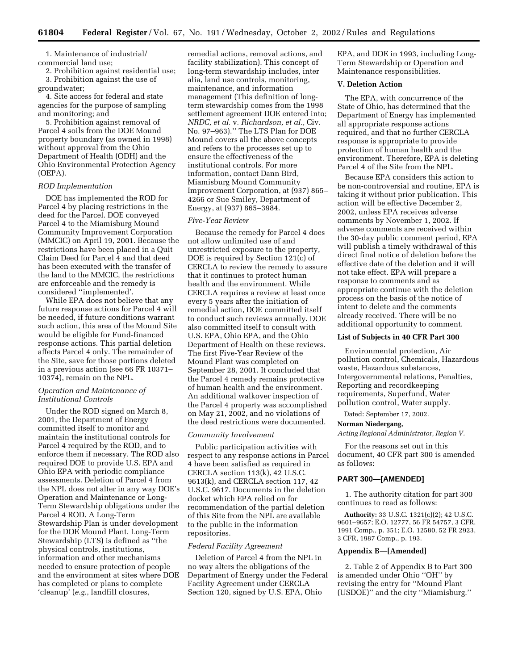1. Maintenance of industrial/ commercial land use;

2. Prohibition against residential use; 3. Prohibition against the use of groundwater;

4. Site access for federal and state agencies for the purpose of sampling and monitoring; and

5. Prohibition against removal of Parcel 4 soils from the DOE Mound property boundary (as owned in 1998) without approval from the Ohio Department of Health (ODH) and the Ohio Environmental Protection Agency (OEPA).

### *ROD Implementation*

DOE has implemented the ROD for Parcel 4 by placing restrictions in the deed for the Parcel. DOE conveyed Parcel 4 to the Miamisburg Mound Community Improvement Corporation (MMCIC) on April 19, 2001. Because the restrictions have been placed in a Quit Claim Deed for Parcel 4 and that deed has been executed with the transfer of the land to the MMCIC, the restrictions are enforceable and the remedy is considered ''implemented'.

While EPA does not believe that any future response actions for Parcel 4 will be needed, if future conditions warrant such action, this area of the Mound Site would be eligible for Fund-financed response actions. This partial deletion affects Parcel 4 only. The remainder of the Site, save for those portions deleted in a previous action (see 66 FR 10371– 10374), remain on the NPL.

### *Operation and Maintenance of Institutional Controls*

Under the ROD signed on March 8, 2001, the Department of Energy committed itself to monitor and maintain the institutional controls for Parcel 4 required by the ROD, and to enforce them if necessary. The ROD also required DOE to provide U.S. EPA and Ohio EPA with periodic compliance assessments. Deletion of Parcel 4 from the NPL does not alter in any way DOE's Operation and Maintenance or Long-Term Stewardship obligations under the Parcel 4 ROD. A Long-Term Stewardship Plan is under development for the DOE Mound Plant. Long-Term Stewardship (LTS) is defined as ''the physical controls, institutions, information and other mechanisms needed to ensure protection of people and the environment at sites where DOE has completed or plans to complete 'cleanup' (*e.g.*, landfill closures,

remedial actions, removal actions, and facility stabilization). This concept of long-term stewardship includes, inter alia, land use controls, monitoring, maintenance, and information management (This definition of longterm stewardship comes from the 1998 settlement agreement DOE entered into; *NRDC, et al.* v. *Richardson, et al.*, Civ. No. 97–963).'' The LTS Plan for DOE Mound covers all the above concepts and refers to the processes set up to ensure the effectiveness of the institutional controls. For more information, contact Dann Bird, Miamisburg Mound Community Improvement Corporation, at (937) 865– 4266 or Sue Smiley, Department of Energy, at (937) 865–3984.

#### *Five-Year Review*

Because the remedy for Parcel 4 does not allow unlimited use of and unrestricted exposure to the property, DOE is required by Section 121(c) of CERCLA to review the remedy to assure that it continues to protect human health and the environment. While CERCLA requires a review at least once every 5 years after the initiation of remedial action, DOE committed itself to conduct such reviews annually. DOE also committed itself to consult with U.S. EPA, Ohio EPA, and the Ohio Department of Health on these reviews. The first Five-Year Review of the Mound Plant was completed on September 28, 2001. It concluded that the Parcel 4 remedy remains protective of human health and the environment. An additional walkover inspection of the Parcel 4 property was accomplished on May 21, 2002, and no violations of the deed restrictions were documented.

#### *Community Involvement*

Public participation activities with respect to any response actions in Parcel 4 have been satisfied as required in CERCLA section 113(k), 42 U.S.C. 9613(k), and CERCLA section 117, 42 U.S.C. 9617. Documents in the deletion docket which EPA relied on for recommendation of the partial deletion of this Site from the NPL are available to the public in the information repositories.

#### *Federal Facility Agreement*

Deletion of Parcel 4 from the NPL in no way alters the obligations of the Department of Energy under the Federal Facility Agreement under CERCLA Section 120, signed by U.S. EPA, Ohio

EPA, and DOE in 1993, including Long-Term Stewardship or Operation and Maintenance responsibilities.

#### **V. Deletion Action**

The EPA, with concurrence of the State of Ohio, has determined that the Department of Energy has implemented all appropriate response actions required, and that no further CERCLA response is appropriate to provide protection of human health and the environment. Therefore, EPA is deleting Parcel 4 of the Site from the NPL.

Because EPA considers this action to be non-controversial and routine, EPA is taking it without prior publication. This action will be effective December 2, 2002, unless EPA receives adverse comments by November 1, 2002. If adverse comments are received within the 30-day public comment period, EPA will publish a timely withdrawal of this direct final notice of deletion before the effective date of the deletion and it will not take effect. EPA will prepare a response to comments and as appropriate continue with the deletion process on the basis of the notice of intent to delete and the comments already received. There will be no additional opportunity to comment.

#### **List of Subjects in 40 CFR Part 300**

Environmental protection, Air pollution control, Chemicals, Hazardous waste, Hazardous substances, Intergovernmental relations, Penalties, Reporting and recordkeeping requirements, Superfund, Water pollution control, Water supply.

Dated: September 17, 2002.

#### **Norman Niedergang,**

*Acting Regional Administrator, Region V.*

For the reasons set out in this document, 40 CFR part 300 is amended as follows:

### **PART 300—[AMENDED]**

1. The authority citation for part 300 continues to read as follows:

**Authority:** 33 U.S.C. 1321(c)(2); 42 U.S.C. 9601–9657; E.O. 12777, 56 FR 54757, 3 CFR, 1991 Comp., p. 351; E.O. 12580, 52 FR 2923, 3 CFR, 1987 Comp., p. 193.

### **Appendix B—[Amended]**

2. Table 2 of Appendix B to Part 300 is amended under Ohio ''OH'' by revising the entry for ''Mound Plant (USDOE)'' and the city ''Miamisburg.''